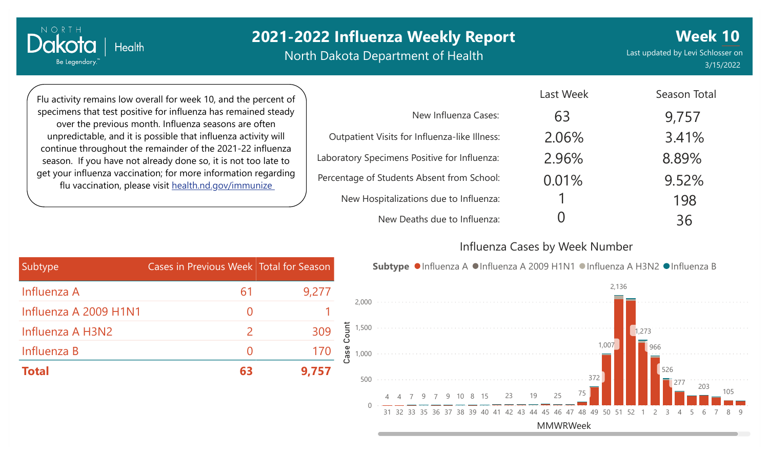North Dakota Department of Health

Last updated by Levi Schlosser on 3/15/2022

**Week 10**

Flu activity remains low overall for week 10, and the percent of specimens that test positive for influenza has remained steady over the previous month. Influenza seasons are often unpredictable, and it is possible that influenza activity will continue throughout the remainder of the 2021-22 influenza season. If you have not already done so, it is not too late to get your influenza vaccination; for more information regarding flu vaccination, please visit [health.nd.gov/immunize](http://health.nd.gov/immunize)

|                                               | Last Week | Season Total |
|-----------------------------------------------|-----------|--------------|
| New Influenza Cases:                          | 63        | 9,757        |
| Outpatient Visits for Influenza-like Illness: | 2.06%     | 3.41%        |
| Laboratory Specimens Positive for Influenza:  | 2.96%     | 8.89%        |
| Percentage of Students Absent from School:    | 0.01%     | 9.52%        |
| New Hospitalizations due to Influenza:        |           | 198          |
| New Deaths due to Influenza:                  |           | 36           |

#### Influenza Cases by Week Number

| Subtype ● Influenza A ● Influenza A 2009 H1N1 ● Influenza | Cases in Previous Week Total for Season |  |
|-----------------------------------------------------------|-----------------------------------------|--|
|                                                           | 9,277<br>b                              |  |
| 2,000                                                     |                                         |  |
| 1,500                                                     | punt<br>309                             |  |
| 1,000                                                     | 170<br>as                               |  |
| 500                                                       | 9,757<br>63                             |  |
| 25<br>23<br>19<br>9 10 8 15<br>4 4 7 9 7                  |                                         |  |
| 31 32 33 35 36 37 38 39<br>-40<br>46.<br>41               |                                         |  |

nza A H3N2 ● Influenza B

MMWRWeek

51 52 1 2 3 4 5 6

526

277

203

105

1,273

966

| Subtype               | Cases in Previous Week Total for Season |       |
|-----------------------|-----------------------------------------|-------|
| Influenza A           | 61                                      | 9,277 |
| Influenza A 2009 H1N1 | $\left( \right)$                        |       |
| Influenza A H3N2      | $\mathcal{P}$                           | 309   |
| Influenza B           | $\left( \right)$                        | 170   |
| <b>Total</b>          | 63                                      | 9,757 |

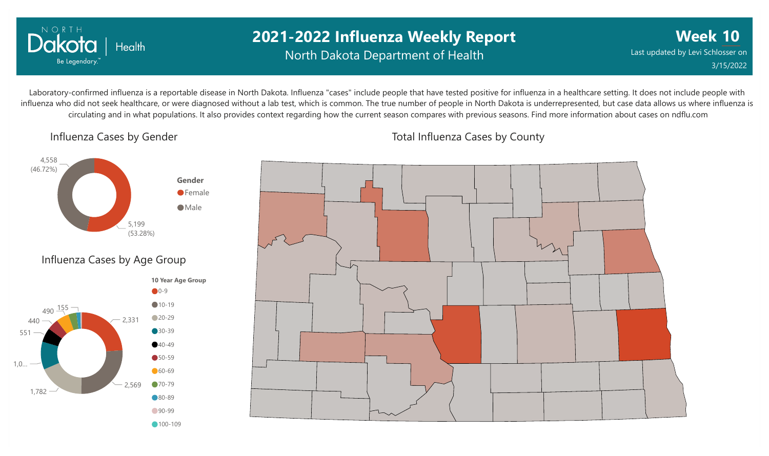

### **2021-2022 Influenza Weekly Report** North Dakota Department of Health

**Week 10** Last updated by Levi Schlosser on 3/15/2022

Laboratory-confirmed influenza is a reportable disease in North Dakota. Influenza "cases" include people that have tested positive for influenza in a healthcare setting. It does not include people with influenza who did not seek healthcare, or were diagnosed without a lab test, which is common. The true number of people in North Dakota is underrepresented, but case data allows us where influenza is circulating and in what populations. It also provides context regarding how the current season compares with previous seasons. Find more information about cases on ndflu.com

Influenza Cases by Gender





Total Influenza Cases by County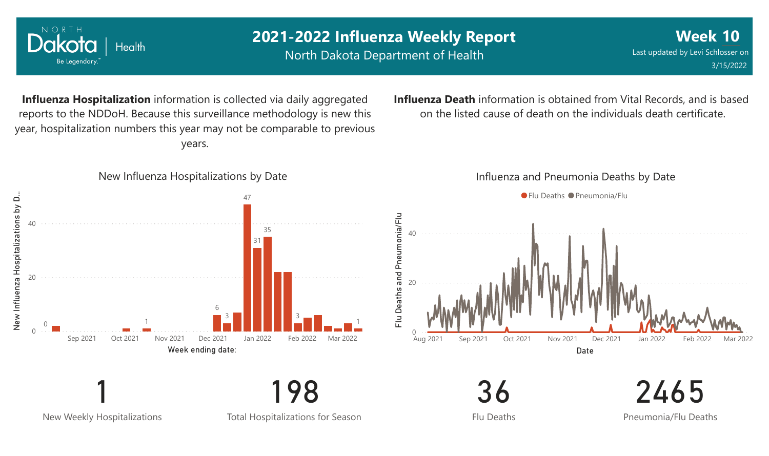

New Weekly Hospitalizations

Total Hospitalizations for Season

Flu Deaths

Pneumonia/Flu Deaths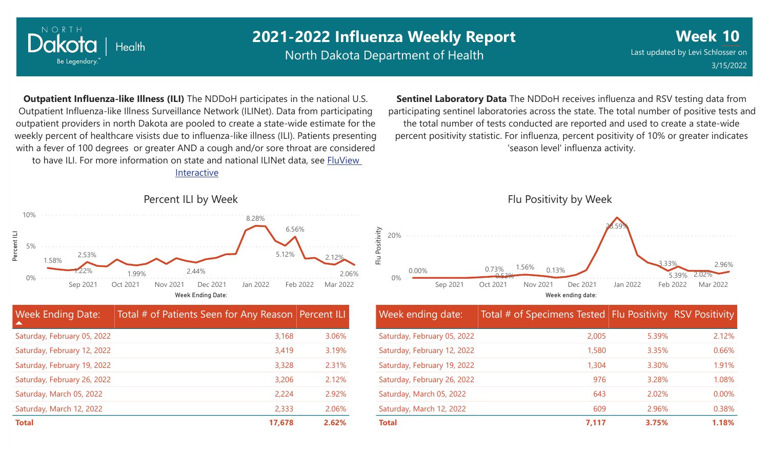

North Dakota Department of Health

**Week 10** Last updated by Levi Schlosser on 3/15/2022

**Outpatient Influenza-like Illness (ILI)** The NDDoH participates in the national U.S. Outpatient Influenza-like Illness Surveillance Network (ILINet). Data from participating outpatient providers in north Dakota are pooled to create a state-wide estimate for the weekly percent of healthcare visists due to influenza-like illness (ILI). Patients presenting with a fever of 100 degrees or greater AND a cough and/or sore throat are considered to have ILI. For more information [on state and national ILINet data, see FluView](http://fluview%20interactive/)

Interactive



**Sentinel Laboratory Data** The NDDoH receives influenza and RSV testing data from participating sentinel laboratories across the state. The total number of positive tests and the total number of tests conducted are reported and used to create a state-wide percent positivity statistic. For influenza, percent positivity of 10% or greater indicates 'season level' influenza activity.



| Week ending date:           | Total # of Specimens Tested Flu Positivity RSV Positivity |       |       |
|-----------------------------|-----------------------------------------------------------|-------|-------|
| Saturday, February 05, 2022 | 2,005                                                     | 5.39% | 2.12% |
| Saturday, February 12, 2022 | 1,580                                                     | 3.35% | 0.66% |
| Saturday, February 19, 2022 | 1,304                                                     | 3.30% | 1.91% |
| Saturday, February 26, 2022 | 976                                                       | 3.28% | 1.08% |
| Saturday, March 05, 2022    | 643                                                       | 2.02% | 0.00% |
| Saturday, March 12, 2022    | 609                                                       | 2.96% | 0.38% |
| <b>Total</b>                | 7,117                                                     | 3.75% | 1.18% |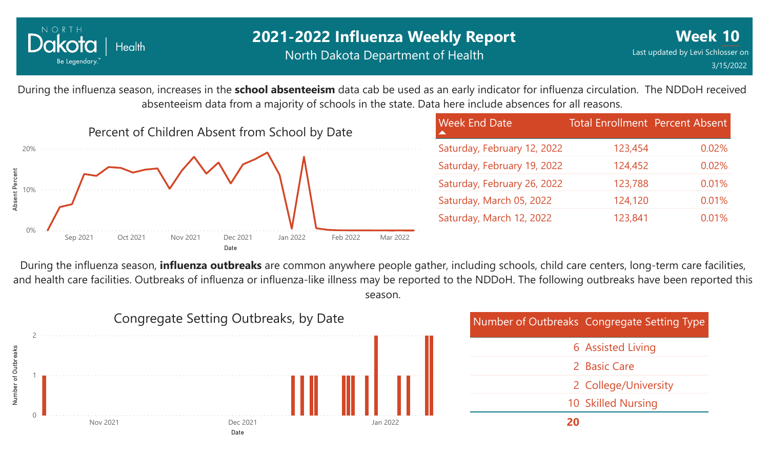

### **2021-2022 Influenza Weekly Report** North Dakota Department of Health

During the influenza season, increases in the **school absenteeism** data cab be used as an early indicator for influenza circulation. The NDDoH received absenteeism data from a majority of schools in the state. Data here include absences for all reasons.



| <b>Week End Date</b>        | Total Enrollment Percent Absent |       |
|-----------------------------|---------------------------------|-------|
| Saturday, February 12, 2022 | 123,454                         | 0.02% |
| Saturday, February 19, 2022 | 124,452                         | 0.02% |
| Saturday, February 26, 2022 | 123,788                         | 0.01% |
| Saturday, March 05, 2022    | 124,120                         | 0.01% |
| Saturday, March 12, 2022    | 123,841                         | 0.01% |

During the influenza season, **influenza outbreaks** are common anywhere people gather, including schools, child care centers, long-term care facilities, and health care facilities. Outbreaks of influenza or influenza-like illness may be reported to the NDDoH. The following outbreaks have been reported this season.



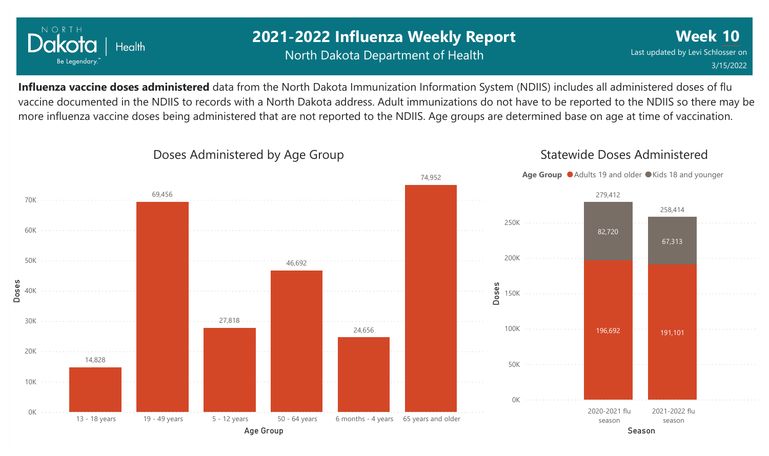

### **2021-2022 Influenza Weekly Report** North Dakota Department of Health

**Week 10** Last updated by Levi Schlosser on 3/15/2022

Statewide Doses Administered

**Influenza vaccine doses administered** data from the North Dakota Immunization Information System (NDIIS) includes all administered doses of flu vaccine documented in the NDIIS to records with a North Dakota address. Adult immunizations do not have to be reported to the NDIIS so there may be more influenza vaccine doses being administered that are not reported to the NDIIS. Age groups are determined base on age at time of vaccination.



#### Doses Administered by Age Group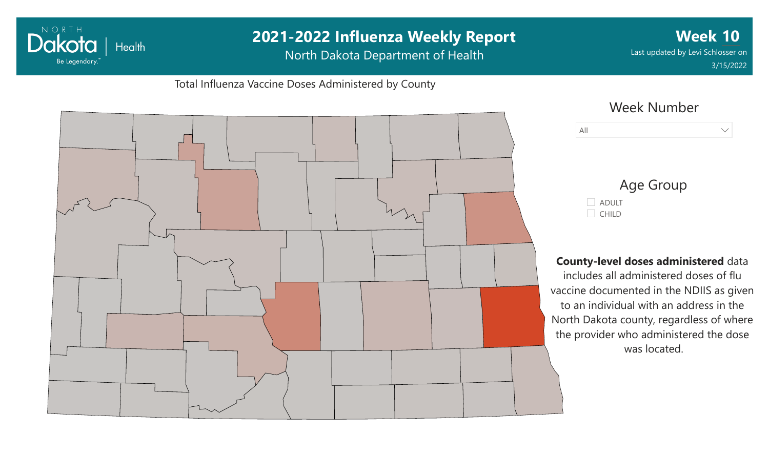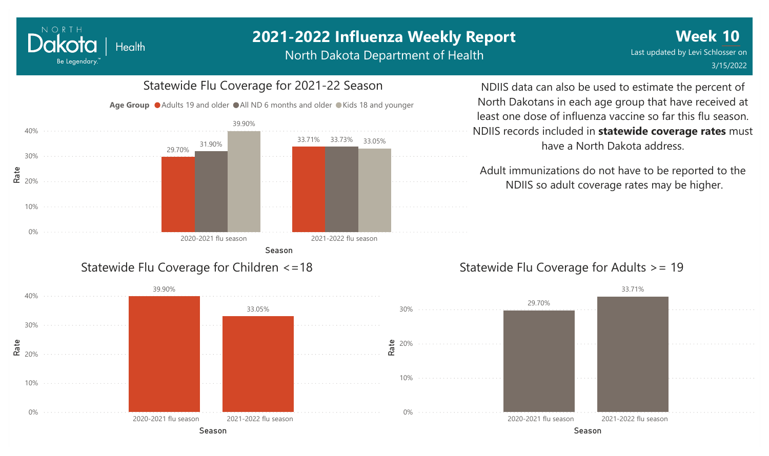North Dakota Department of Health

# Season 2020-2021 flu season 2021-2022 flu season 29.70% 33.71% 33.73% 33.05% 31.90% 39.90% Age Group ● Adults 19 and older ● All ND 6 months and older ● Kids 18 and younger Statewide Flu Coverage for Children <=18

0%

10%

**e**<br>**ድ** <sub>20%</sub>

30%

40%

NORTH

Dakota

Be Legendary.

**Health** 

#### NDIIS data can also be used to estimate the percent of North Dakotans in each age group that have received at least one dose of influenza vaccine so far this flu season. NDIIS records included in **statewide coverage rates** must have a North Dakota address.

Adult immunizations do not have to be reported to the NDIIS so adult coverage rates may be higher.

#### Statewide Flu Coverage for Adults >= 19

![](_page_7_Figure_7.jpeg)

# Statewide Flu Coverage for 2021-22 Season